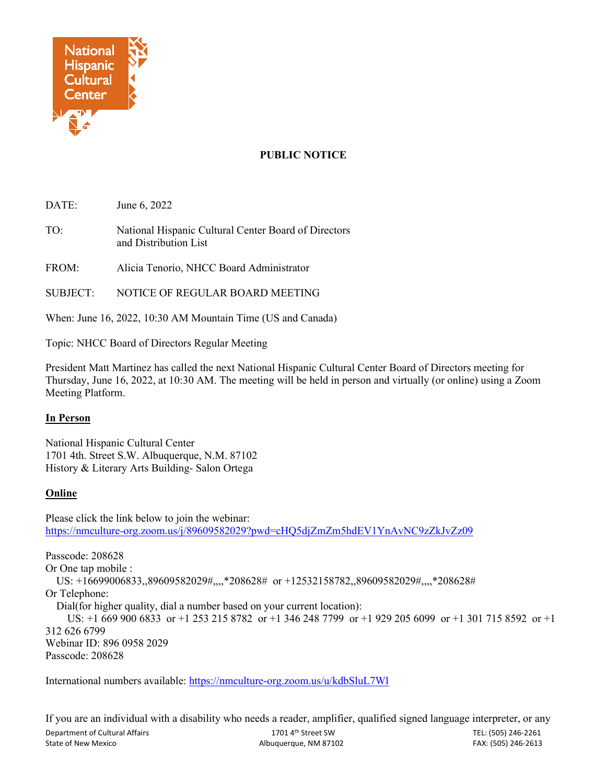

## **PUBLIC NOTICE**

DATE: June 6, 2022

TO: National Hispanic Cultural Center Board of Directors and Distribution List

FROM: Alicia Tenorio, NHCC Board Administrator

SUBJECT: NOTICE OF REGULAR BOARD MEETING

When: June 16, 2022, 10:30 AM Mountain Time (US and Canada)

Topic: NHCC Board of Directors Regular Meeting

President Matt Martinez has called the next National Hispanic Cultural Center Board of Directors meeting for Thursday, June 16, 2022, at 10:30 AM. The meeting will be held in person and virtually (or online) using a Zoom Meeting Platform.

## **In Person**

National Hispanic Cultural Center 1701 4th. Street S.W. Albuquerque, N.M. 87102 History & Literary Arts Building- Salon Ortega

## **Online**

Please click the link below to join the webinar: <https://nmculture-org.zoom.us/j/89609582029?pwd=cHQ5djZmZm5hdEV1YnAvNC9zZkJvZz09>

Passcode: 208628 Or One tap mobile : US: +16699006833,,89609582029#,,,,\*208628# or +12532158782,,89609582029#,,,,\*208628# Or Telephone: Dial(for higher quality, dial a number based on your current location): US: +1 669 900 6833 or +1 253 215 8782 or +1 346 248 7799 or +1 929 205 6099 or +1 301 715 8592 or +1 312 626 6799 Webinar ID: 896 0958 2029 Passcode: 208628

International numbers available:<https://nmculture-org.zoom.us/u/kdbSluL7Wl>

Department of Cultural Affairs 1701 4th Street SW TEL: (505) 246-2261 State of New Mexico **Albuquerque, NM 87102** FAX: (505) 246-2613 If you are an individual with a disability who needs a reader, amplifier, qualified signed language interpreter, or any